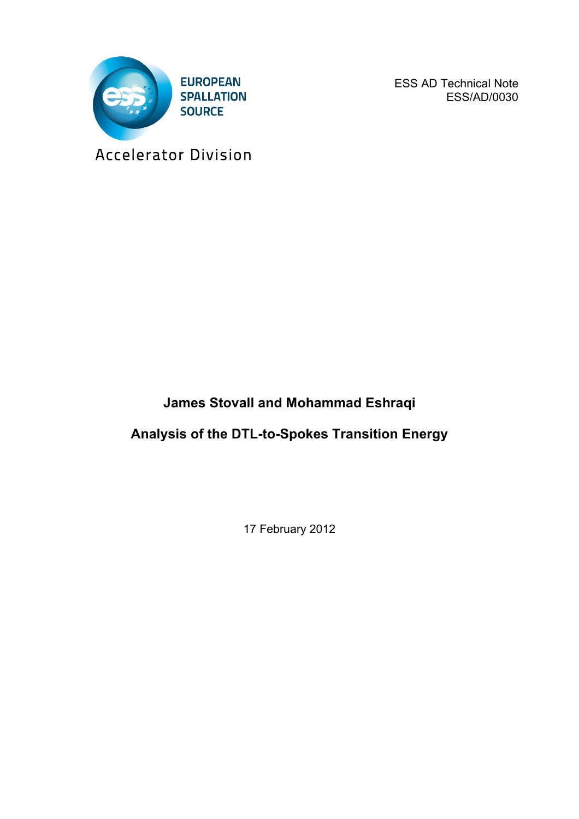

ESS AD Technical Note ESS/AD/0030

Accelerator Division

## **James Stovall and Mohammad Eshraqi**

## **Analysis of the DTL-to-Spokes Transition Energy**

17 February 2012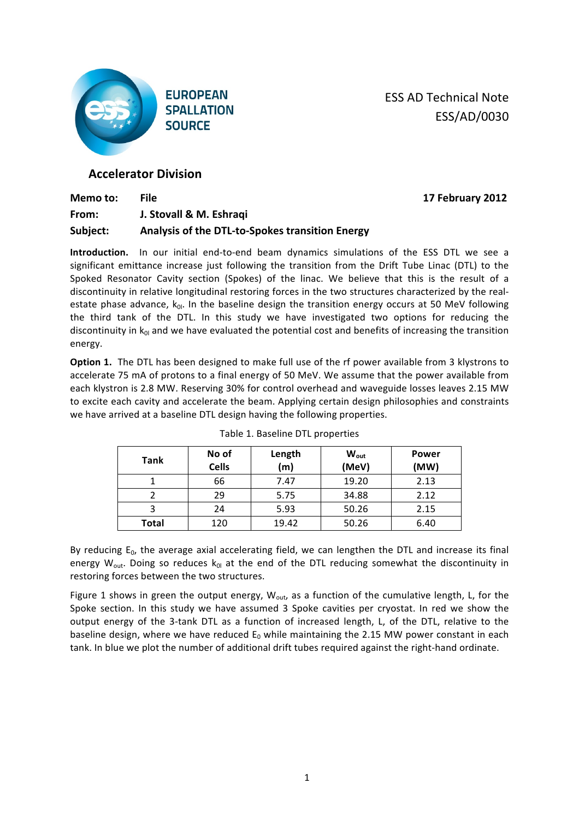

**ESS AD Technical Note** ESS/AD/0030

**Memo!to:! File 17 February!2012**

## **Accelerator Division**

| Memo to: | File                                            |
|----------|-------------------------------------------------|
| From:    | J. Stovall & M. Eshragi                         |
| Subject: | Analysis of the DTL-to-Spokes transition Energy |

**Introduction.** In our initial end-to-end beam dynamics simulations of the ESS DTL we see a significant emittance increase just following the transition from the Drift Tube Linac (DTL) to the Spoked Resonator Cavity section (Spokes) of the linac. We believe that this is the result of a discontinuity in relative longitudinal restoring forces in the two structures characterized by the realestate phase advance,  $k_{0l}$ . In the baseline design the transition energy occurs at 50 MeV following the third tank of the DTL. In this study we have investigated two options for reducing the discontinuity in  $k_{0l}$  and we have evaluated the potential cost and benefits of increasing the transition energy.

**Option 1.** The DTL has been designed to make full use of the rf power available from 3 klystrons to accelerate 75 mA of protons to a final energy of 50 MeV. We assume that the power available from each klystron is 2.8 MW. Reserving 30% for control overhead and waveguide losses leaves 2.15 MW to excite each cavity and accelerate the beam. Applying certain design philosophies and constraints we have arrived at a baseline DTL design having the following properties.

| Tank         | No of<br><b>Cells</b> | Length<br>(m) | <b>W</b> <sub>out</sub><br>(MeV) | <b>Power</b><br>(MW) |
|--------------|-----------------------|---------------|----------------------------------|----------------------|
|              | 66                    | 7.47          | 19.20                            | 2.13                 |
|              | 29                    | 5.75          | 34.88                            | 2.12                 |
|              | 24                    | 5.93          | 50.26                            | 2.15                 |
| <b>Total</b> | 120                   | 19.42         | 50.26                            | 6.40                 |

|  |  |  | Table 1. Baseline DTL properties |
|--|--|--|----------------------------------|
|--|--|--|----------------------------------|

By reducing  $E_0$ , the average axial accelerating field, we can lengthen the DTL and increase its final energy  $W_{out}$ . Doing so reduces  $k_{0l}$  at the end of the DTL reducing somewhat the discontinuity in restoring forces between the two structures.

Figure 1 shows in green the output energy,  $W_{\text{out}}$ , as a function of the cumulative length, L, for the Spoke section. In this study we have assumed 3 Spoke cavities per cryostat. In red we show the output energy of the 3-tank DTL as a function of increased length, L, of the DTL, relative to the baseline design, where we have reduced  $E_0$  while maintaining the 2.15 MW power constant in each tank. In blue we plot the number of additional drift tubes required against the right-hand ordinate.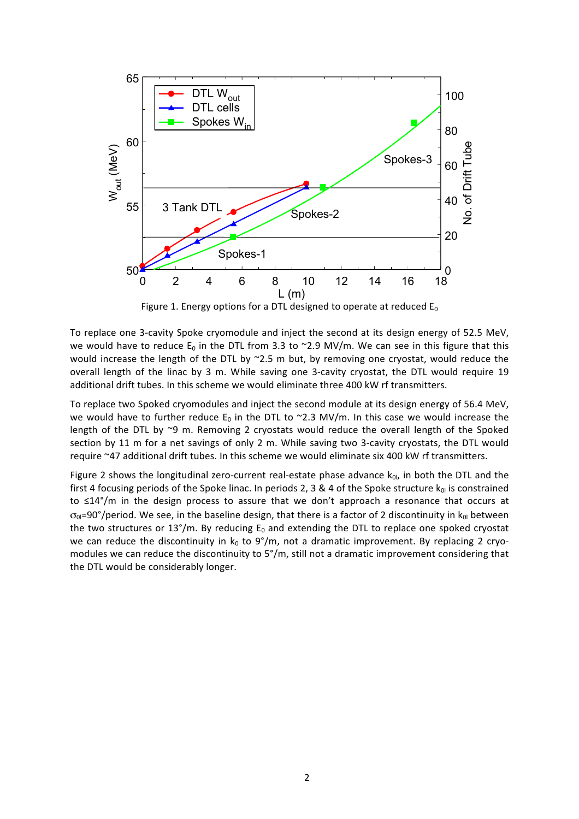

Figure 1. Energy options for a DTL designed to operate at reduced  $E_0$ 

To replace one 3-cavity Spoke cryomodule and inject the second at its design energy of 52.5 MeV, we would have to reduce  $E_0$  in the DTL from 3.3 to ~2.9 MV/m. We can see in this figure that this would increase the length of the DTL by  $~2.5~$  m but, by removing one cryostat, would reduce the overall length of the linac by 3 m. While saving one 3-cavity cryostat, the DTL would require 19 additional drift tubes. In this scheme we would eliminate three 400 kW rf transmitters.

To replace two Spoked cryomodules and inject the second module at its design energy of 56.4 MeV, we would have to further reduce  $E_0$  in the DTL to ~2.3 MV/m. In this case we would increase the length of the DTL by ~9 m. Removing 2 cryostats would reduce the overall length of the Spoked section by 11 m for a net savings of only 2 m. While saving two 3-cavity cryostats, the DTL would require ~47 additional drift tubes. In this scheme we would eliminate six 400 kW rf transmitters.

Figure 2 shows the longitudinal zero-current real-estate phase advance  $k_{0l}$ , in both the DTL and the first 4 focusing periods of the Spoke linac. In periods 2, 3 & 4 of the Spoke structure  $k_0$  is constrained to  $\leq$ 14°/m in the design process to assure that we don't approach a resonance that occurs at  $\sigma_{0}$ =90°/period. We see, in the baseline design, that there is a factor of 2 discontinuity in k<sub>0l</sub> between the two structures or 13°/m. By reducing  $E_0$  and extending the DTL to replace one spoked cryostat we can reduce the discontinuity in  $k_0$  to  $9^{\circ}/m$ , not a dramatic improvement. By replacing 2 cryomodules we can reduce the discontinuity to 5°/m, still not a dramatic improvement considering that the DTL would be considerably longer.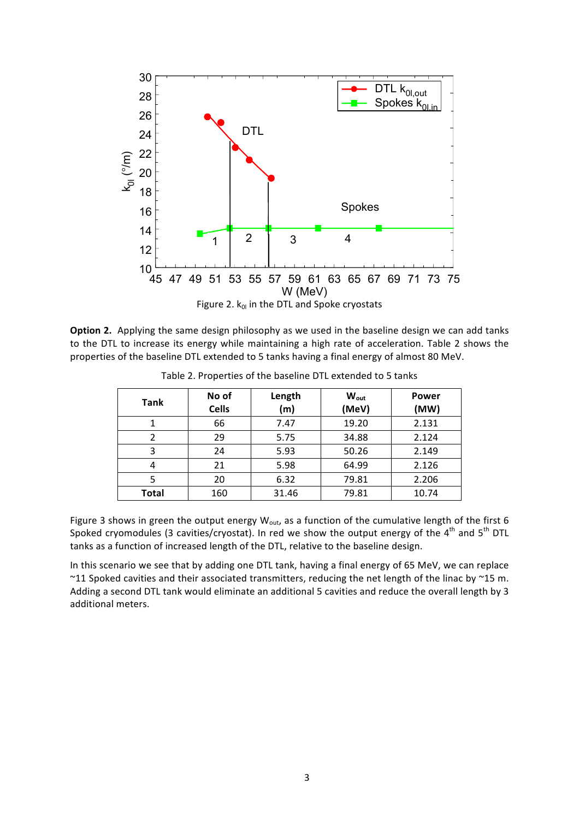

Option 2. Applying the same design philosophy as we used in the baseline design we can add tanks to the DTL to increase its energy while maintaining a high rate of acceleration. Table 2 shows the properties of the baseline DTL extended to 5 tanks having a final energy of almost 80 MeV.

| <b>Tank</b> | No of<br><b>Cells</b> | Length<br>(m) | $W_{\text{out}}$<br>(MeV) | <b>Power</b><br>(MW) |
|-------------|-----------------------|---------------|---------------------------|----------------------|
|             | 66                    | 7.47          | 19.20                     | 2.131                |
| 2           | 29                    | 5.75          | 34.88                     | 2.124                |
| 3           | 24                    | 5.93          | 50.26                     | 2.149                |
| 4           | 21                    | 5.98          | 64.99                     | 2.126                |
| 5           | 6.32<br>20            |               | 79.81                     | 2.206                |
| Total       | 160                   | 31.46         | 79.81                     | 10.74                |

Table 2. Properties of the baseline DTL extended to 5 tanks

Figure 3 shows in green the output energy W<sub>out</sub>, as a function of the cumulative length of the first 6 Spoked cryomodules (3 cavities/cryostat). In red we show the output energy of the  $4^{th}$  and  $5^{th}$  DTL tanks as a function of increased length of the DTL, relative to the baseline design.

In this scenario we see that by adding one DTL tank, having a final energy of 65 MeV, we can replace ~11 Spoked cavities and their associated transmitters, reducing the net length of the linac by ~15 m. Adding a second DTL tank would eliminate an additional 5 cavities and reduce the overall length by 3 additional meters.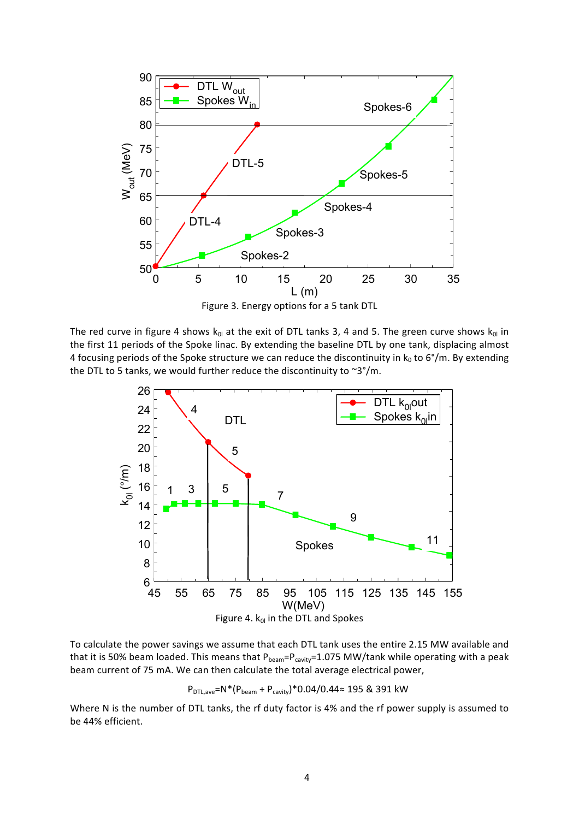

Figure 3. Energy options for a 5 tank DTL

The red curve in figure 4 shows  $k_{0l}$  at the exit of DTL tanks 3, 4 and 5. The green curve shows  $k_{0l}$  in the first 11 periods of the Spoke linac. By extending the baseline DTL by one tank, displacing almost 4 focusing periods of the Spoke structure we can reduce the discontinuity in  $k_0$  to 6°/m. By extending the DTL to 5 tanks, we would further reduce the discontinuity to  $\sim 3^{\circ}/m$ .



To calculate the power savings we assume that each DTL tank uses the entire 2.15 MW available and that it is 50% beam loaded. This means that  $P_{beam}=P_{cavity}=1.075$  MW/tank while operating with a peak beam current of 75 mA. We can then calculate the total average electrical power,

 $P_{DTL,ave}$ =N\*( $P_{beam}$  +  $P_{cavity}$ )\*0.04/0.44≈ 195 & 391 kW

Where N is the number of DTL tanks, the rf duty factor is 4% and the rf power supply is assumed to be 44% efficient.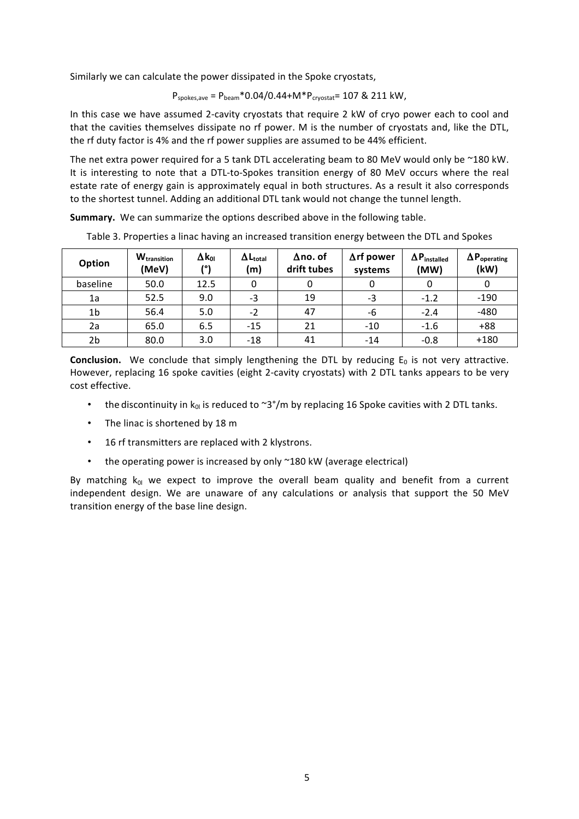Similarly we can calculate the power dissipated in the Spoke cryostats,

$$
P_{\text{spokes,ave}} = P_{\text{beam}} * 0.04/0.44 + M * P_{\text{cryostat}} = 107 \& 211 \text{ kW}
$$
,

In this case we have assumed 2-cavity cryostats that require 2 kW of cryo power each to cool and that the cavities themselves dissipate no rf power. M is the number of cryostats and, like the DTL, the rf duty factor is 4% and the rf power supplies are assumed to be 44% efficient.

The net extra power required for a 5 tank DTL accelerating beam to 80 MeV would only be ~180 kW. It is interesting to note that a DTL-to-Spokes transition energy of 80 MeV occurs where the real estate rate of energy gain is approximately equal in both structures. As a result it also corresponds to the shortest tunnel. Adding an additional DTL tank would not change the tunnel length.

**Summary.** We can summarize the options described above in the following table.

| Option         | <b>W</b> <sub>transition</sub><br>(MeV) | $\Delta {\sf k}_{\sf ol}$<br>701 | $\Delta L_{\text{total}}$<br>(m) | $\Delta$ no. of<br>drift tubes | $\Delta$ rf power<br>systems | $\Delta P_{\text{installed}}$<br>(MW) | $\Delta P_{operating}$<br>(kW) |
|----------------|-----------------------------------------|----------------------------------|----------------------------------|--------------------------------|------------------------------|---------------------------------------|--------------------------------|
| baseline       | 50.0                                    | 12.5                             |                                  | 0                              |                              |                                       |                                |
| 1a             | 52.5                                    | 9.0                              | -3                               | 19                             | -3                           | $-1.2$                                | $-190$                         |
| 1 <sub>b</sub> | 56.4                                    | 5.0                              | $-2$                             | 47                             | -6                           | $-2.4$                                | $-480$                         |
| 2a             | 65.0                                    | 6.5                              | $-15$                            | 21                             | $-10$                        | $-1.6$                                | $+88$                          |
| 2b             | 80.0                                    | 3.0                              | $-18$                            | 41                             | $-14$                        | $-0.8$                                | $+180$                         |

Table 3. Properties a linac having an increased transition energy between the DTL and Spokes

**Conclusion.** We conclude that simply lengthening the DTL by reducing  $E_0$  is not very attractive. However, replacing 16 spoke cavities (eight 2-cavity cryostats) with 2 DTL tanks appears to be very cost effective.

- the discontinuity in  $k_0$  is reduced to ~3°/m by replacing 16 Spoke cavities with 2 DTL tanks.
- The linac is shortened by  $18 \text{ m}$
- 16 rf transmitters are replaced with 2 klystrons.
- the operating power is increased by only  $\sim$  180 kW (average electrical)

By matching  $k_{0l}$  we expect to improve the overall beam quality and benefit from a current independent design. We are unaware of any calculations or analysis that support the 50 MeV transition energy of the base line design.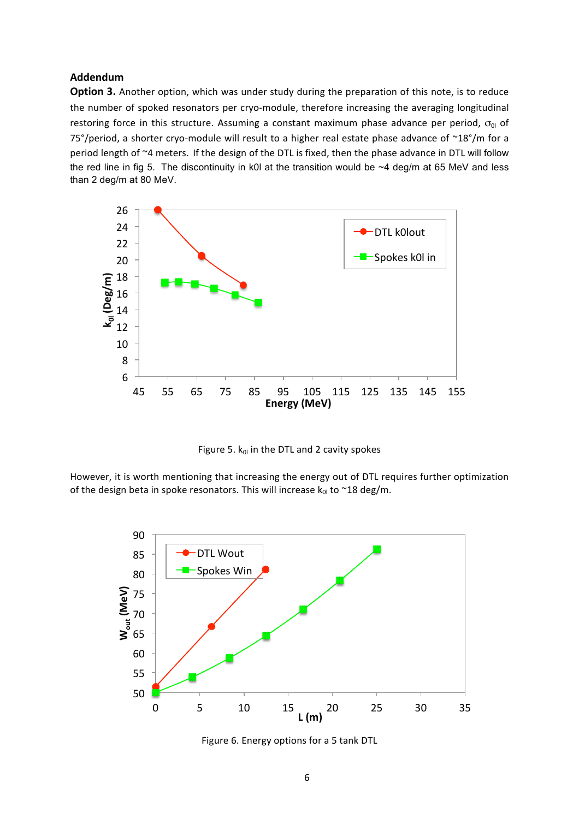## **Addendum**

**Option 3.** Another option, which was under study during the preparation of this note, is to reduce the number of spoked resonators per cryo-module, therefore increasing the averaging longitudinal restoring force in this structure. Assuming a constant maximum phase advance per period,  $\sigma_{0l}$  of 75°/period, a shorter cryo-module will result to a higher real estate phase advance of  $~18^{\circ}/m$  for a period length of ~4 meters. If the design of the DTL is fixed, then the phase advance in DTL will follow the red line in fig 5. The discontinuity in k0l at the transition would be  $~4$  deg/m at 65 MeV and less than 2 deg/m at 80 MeV.



Figure 5.  $k_{0l}$  in the DTL and 2 cavity spokes

However, it is worth mentioning that increasing the energy out of DTL requires further optimization of the design beta in spoke resonators. This will increase  $k_{0l}$  to ~18 deg/m.



Figure 6. Energy options for a 5 tank DTL